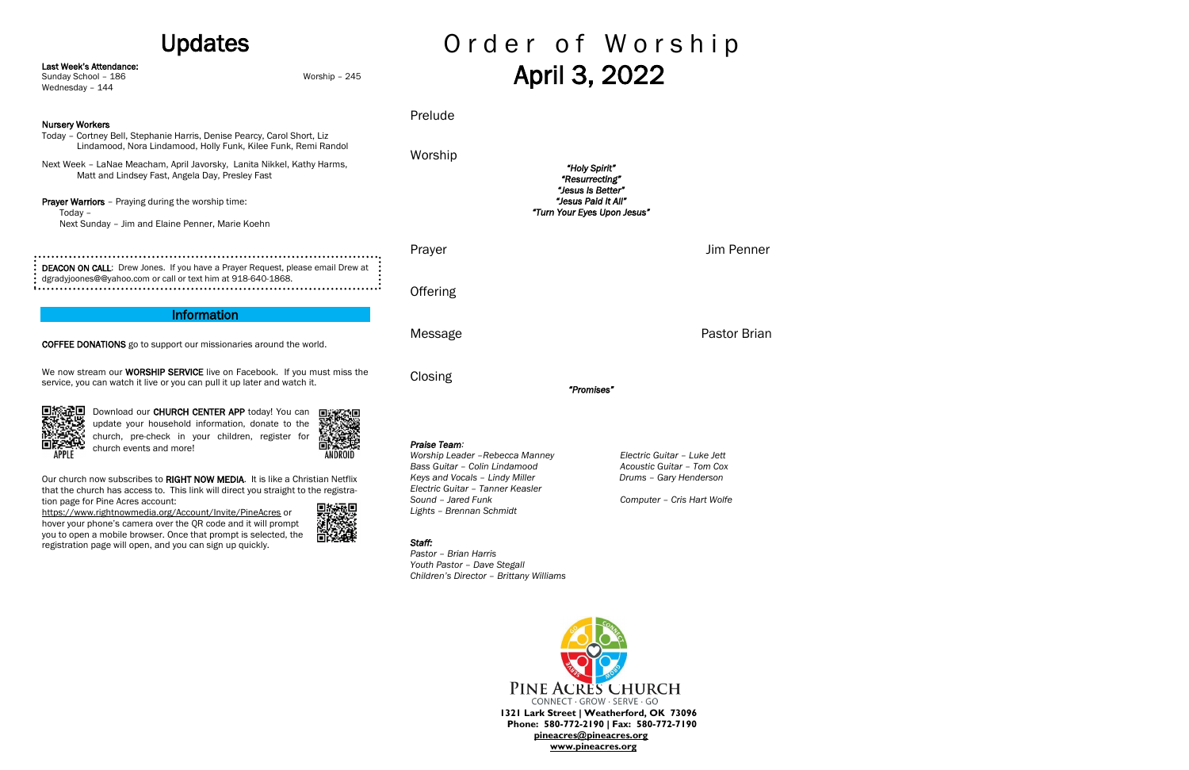## Updates

Last Week's Attendance:

|  | Sunday School - 186<br>Worship - 245<br>Wednesday - 144                                                                                                                                                                                                                                                                                                                                                  |                                                                                                                                                                               |                                                                                              | Aprii 3, 2022                                      |                                                          |  |
|--|----------------------------------------------------------------------------------------------------------------------------------------------------------------------------------------------------------------------------------------------------------------------------------------------------------------------------------------------------------------------------------------------------------|-------------------------------------------------------------------------------------------------------------------------------------------------------------------------------|----------------------------------------------------------------------------------------------|----------------------------------------------------|----------------------------------------------------------|--|
|  | <b>Nursery Workers</b>                                                                                                                                                                                                                                                                                                                                                                                   |                                                                                                                                                                               | Prelude                                                                                      |                                                    |                                                          |  |
|  | Today - Cortney Bell, Stephanie Harris, Denise Pearcy, Carol Short, Liz<br>Lindamood, Nora Lindamood, Holly Funk, Kilee Funk, Remi Randol                                                                                                                                                                                                                                                                |                                                                                                                                                                               | Worship                                                                                      |                                                    | "Holy Spirit"<br>"Resurrecting"<br>"Jesus Is Better"     |  |
|  |                                                                                                                                                                                                                                                                                                                                                                                                          | Next Week - LaNae Meacham, April Javorsky, Lanita Nikkel, Kathy Harms,<br>Matt and Lindsey Fast, Angela Day, Presley Fast<br>Next Sunday - Jim and Elaine Penner, Marie Koehn |                                                                                              |                                                    |                                                          |  |
|  | <b>Prayer Warriors</b> - Praying during the worship time:<br>Today $-$                                                                                                                                                                                                                                                                                                                                   |                                                                                                                                                                               |                                                                                              | "Jesus Paid It All"<br>"Turn Your Eyes Upon Jesus" |                                                          |  |
|  | DEACON ON CALL: Drew Jones. If you have a Prayer Request, please email Drew at                                                                                                                                                                                                                                                                                                                           |                                                                                                                                                                               | Prayer                                                                                       |                                                    | <b>Jim Penner</b>                                        |  |
|  | dgradyjoones@@yahoo.com or call or text him at 918-640-1868.                                                                                                                                                                                                                                                                                                                                             |                                                                                                                                                                               | Offering                                                                                     |                                                    |                                                          |  |
|  | <b>Information</b>                                                                                                                                                                                                                                                                                                                                                                                       |                                                                                                                                                                               |                                                                                              |                                                    |                                                          |  |
|  | <b>COFFEE DONATIONS</b> go to support our missionaries around the world.                                                                                                                                                                                                                                                                                                                                 |                                                                                                                                                                               | Message                                                                                      |                                                    | <b>Pastor Brian</b>                                      |  |
|  | We now stream our <b>WORSHIP SERVICE</b> live on Facebook. If you must miss the<br>service, you can watch it live or you can pull it up later and watch it.                                                                                                                                                                                                                                              |                                                                                                                                                                               | Closing                                                                                      | "Promises"                                         |                                                          |  |
|  | Download our CHURCH CENTER APP today! You can<br>update your household information, donate to the<br>church, pre-check in your children, register for<br>church events and more!<br><b>APPLE</b>                                                                                                                                                                                                         | <b>ANDROID</b>                                                                                                                                                                | Praise Team:<br>Worship Leader - Rebecca Manney<br>Bass Guitar - Colin Lindamood             |                                                    | Electric Guitar - Luke Jett<br>Acoustic Guitar - Tom Cox |  |
|  | Our church now subscribes to RIGHT NOW MEDIA. It is like a Christian Netflix<br>that the church has access to. This link will direct you straight to the registra-<br>tion page for Pine Acres account:<br>https://www.rightnowmedia.org/Account/Invite/PineAcres or<br>hover your phone's camera over the QR code and it will prompt<br>you to open a mobile browser. Once that prompt is selected, the |                                                                                                                                                                               | Keys and Vocals - Lindy Miller                                                               |                                                    | Drums - Gary Henderson                                   |  |
|  |                                                                                                                                                                                                                                                                                                                                                                                                          |                                                                                                                                                                               | Electric Guitar - Tanner Keasler<br>Sound - Jared Funk<br>Lights - Brennan Schmidt<br>Staff: |                                                    | Computer - Cris Hart Wolfe                               |  |
|  | registration page will open, and you can sign up quickly.                                                                                                                                                                                                                                                                                                                                                |                                                                                                                                                                               |                                                                                              |                                                    |                                                          |  |

# Order of Worship April 3, 2022

*Staff: Pastor – Brian Harris Youth Pastor – Dave Stegall Children's Director – Brittany Williams*